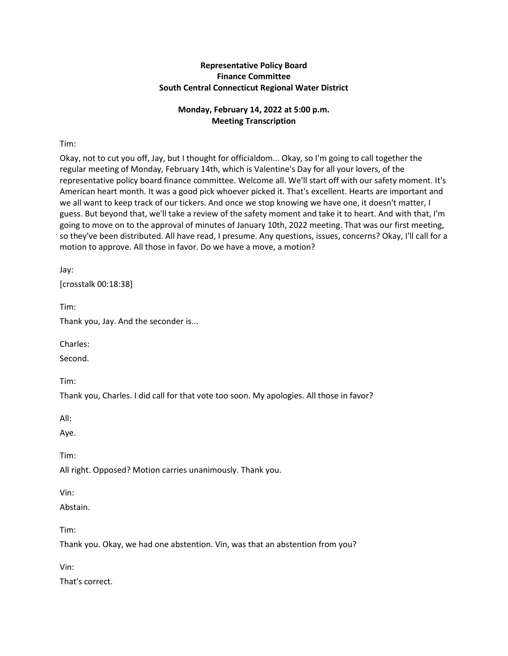## **Representative Policy Board Finance Committee South Central Connecticut Regional Water District**

# **Monday, February 14, 2022 at 5:00 p.m. Meeting Transcription**

Tim:

Okay, not to cut you off, Jay, but I thought for officialdom... Okay, so I'm going to call together the regular meeting of Monday, February 14th, which is Valentine's Day for all your lovers, of the representative policy board finance committee. Welcome all. We'll start off with our safety moment. It's American heart month. It was a good pick whoever picked it. That's excellent. Hearts are important and we all want to keep track of our tickers. And once we stop knowing we have one, it doesn't matter, I guess. But beyond that, we'll take a review of the safety moment and take it to heart. And with that, I'm going to move on to the approval of minutes of January 10th, 2022 meeting. That was our first meeting, so they've been distributed. All have read, I presume. Any questions, issues, concerns? Okay, I'll call for a motion to approve. All those in favor. Do we have a move, a motion?

Jay:

[crosstalk 00:18:38]

Tim:

Thank you, Jay. And the seconder is...

Charles:

Second.

Tim:

Thank you, Charles. I did call for that vote too soon. My apologies. All those in favor?

All:

Aye.

Tim:

All right. Opposed? Motion carries unanimously. Thank you.

Vin:

Abstain.

Tim:

Thank you. Okay, we had one abstention. Vin, was that an abstention from you?

Vin:

That's correct.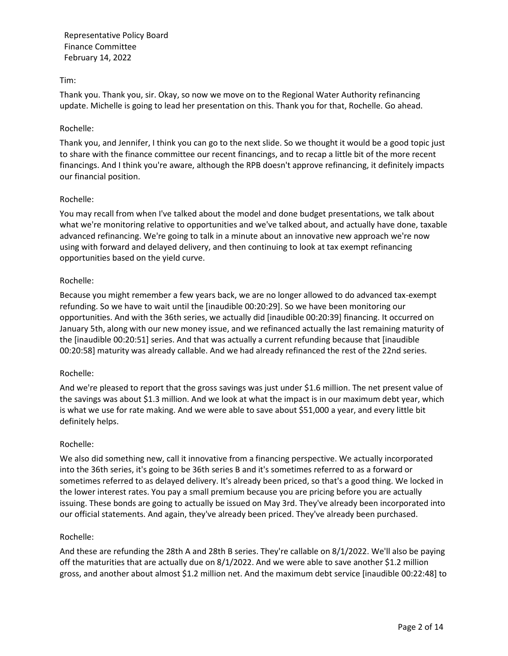### Tim:

Thank you. Thank you, sir. Okay, so now we move on to the Regional Water Authority refinancing update. Michelle is going to lead her presentation on this. Thank you for that, Rochelle. Go ahead.

### Rochelle:

Thank you, and Jennifer, I think you can go to the next slide. So we thought it would be a good topic just to share with the finance committee our recent financings, and to recap a little bit of the more recent financings. And I think you're aware, although the RPB doesn't approve refinancing, it definitely impacts our financial position.

### Rochelle:

You may recall from when I've talked about the model and done budget presentations, we talk about what we're monitoring relative to opportunities and we've talked about, and actually have done, taxable advanced refinancing. We're going to talk in a minute about an innovative new approach we're now using with forward and delayed delivery, and then continuing to look at tax exempt refinancing opportunities based on the yield curve.

## Rochelle:

Because you might remember a few years back, we are no longer allowed to do advanced tax-exempt refunding. So we have to wait until the [inaudible 00:20:29]. So we have been monitoring our opportunities. And with the 36th series, we actually did [inaudible 00:20:39] financing. It occurred on January 5th, along with our new money issue, and we refinanced actually the last remaining maturity of the [inaudible 00:20:51] series. And that was actually a current refunding because that [inaudible 00:20:58] maturity was already callable. And we had already refinanced the rest of the 22nd series.

### Rochelle:

And we're pleased to report that the gross savings was just under \$1.6 million. The net present value of the savings was about \$1.3 million. And we look at what the impact is in our maximum debt year, which is what we use for rate making. And we were able to save about \$51,000 a year, and every little bit definitely helps.

### Rochelle:

We also did something new, call it innovative from a financing perspective. We actually incorporated into the 36th series, it's going to be 36th series B and it's sometimes referred to as a forward or sometimes referred to as delayed delivery. It's already been priced, so that's a good thing. We locked in the lower interest rates. You pay a small premium because you are pricing before you are actually issuing. These bonds are going to actually be issued on May 3rd. They've already been incorporated into our official statements. And again, they've already been priced. They've already been purchased.

### Rochelle:

And these are refunding the 28th A and 28th B series. They're callable on 8/1/2022. We'll also be paying off the maturities that are actually due on 8/1/2022. And we were able to save another \$1.2 million gross, and another about almost \$1.2 million net. And the maximum debt service [inaudible 00:22:48] to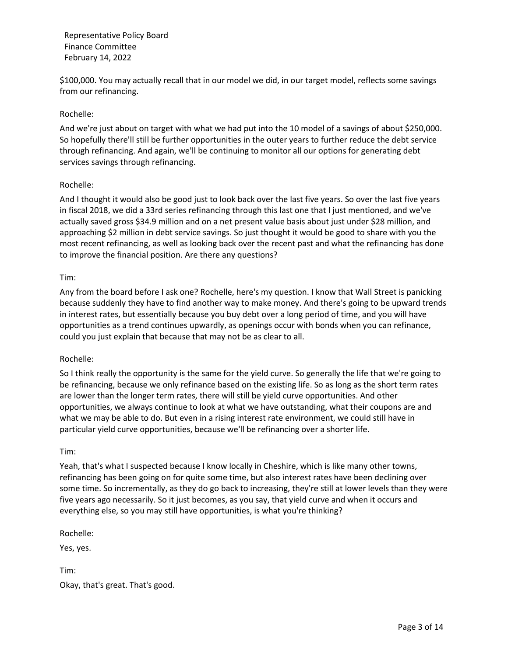\$100,000. You may actually recall that in our model we did, in our target model, reflects some savings from our refinancing.

### Rochelle:

And we're just about on target with what we had put into the 10 model of a savings of about \$250,000. So hopefully there'll still be further opportunities in the outer years to further reduce the debt service through refinancing. And again, we'll be continuing to monitor all our options for generating debt services savings through refinancing.

### Rochelle:

And I thought it would also be good just to look back over the last five years. So over the last five years in fiscal 2018, we did a 33rd series refinancing through this last one that I just mentioned, and we've actually saved gross \$34.9 million and on a net present value basis about just under \$28 million, and approaching \$2 million in debt service savings. So just thought it would be good to share with you the most recent refinancing, as well as looking back over the recent past and what the refinancing has done to improve the financial position. Are there any questions?

#### Tim:

Any from the board before I ask one? Rochelle, here's my question. I know that Wall Street is panicking because suddenly they have to find another way to make money. And there's going to be upward trends in interest rates, but essentially because you buy debt over a long period of time, and you will have opportunities as a trend continues upwardly, as openings occur with bonds when you can refinance, could you just explain that because that may not be as clear to all.

### Rochelle:

So I think really the opportunity is the same for the yield curve. So generally the life that we're going to be refinancing, because we only refinance based on the existing life. So as long as the short term rates are lower than the longer term rates, there will still be yield curve opportunities. And other opportunities, we always continue to look at what we have outstanding, what their coupons are and what we may be able to do. But even in a rising interest rate environment, we could still have in particular yield curve opportunities, because we'll be refinancing over a shorter life.

#### Tim:

Yeah, that's what I suspected because I know locally in Cheshire, which is like many other towns, refinancing has been going on for quite some time, but also interest rates have been declining over some time. So incrementally, as they do go back to increasing, they're still at lower levels than they were five years ago necessarily. So it just becomes, as you say, that yield curve and when it occurs and everything else, so you may still have opportunities, is what you're thinking?

Rochelle:

Yes, yes.

Tim: Okay, that's great. That's good.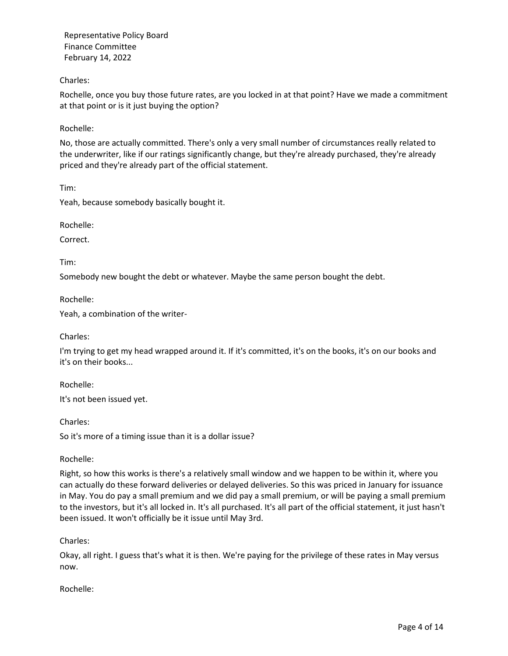### Charles:

Rochelle, once you buy those future rates, are you locked in at that point? Have we made a commitment at that point or is it just buying the option?

### Rochelle:

No, those are actually committed. There's only a very small number of circumstances really related to the underwriter, like if our ratings significantly change, but they're already purchased, they're already priced and they're already part of the official statement.

Tim:

Yeah, because somebody basically bought it.

Rochelle:

Correct.

Tim:

Somebody new bought the debt or whatever. Maybe the same person bought the debt.

Rochelle:

Yeah, a combination of the writer-

Charles:

I'm trying to get my head wrapped around it. If it's committed, it's on the books, it's on our books and it's on their books...

Rochelle:

It's not been issued yet.

Charles:

So it's more of a timing issue than it is a dollar issue?

Rochelle:

Right, so how this works is there's a relatively small window and we happen to be within it, where you can actually do these forward deliveries or delayed deliveries. So this was priced in January for issuance in May. You do pay a small premium and we did pay a small premium, or will be paying a small premium to the investors, but it's all locked in. It's all purchased. It's all part of the official statement, it just hasn't been issued. It won't officially be it issue until May 3rd.

Charles:

Okay, all right. I guess that's what it is then. We're paying for the privilege of these rates in May versus now.

Rochelle: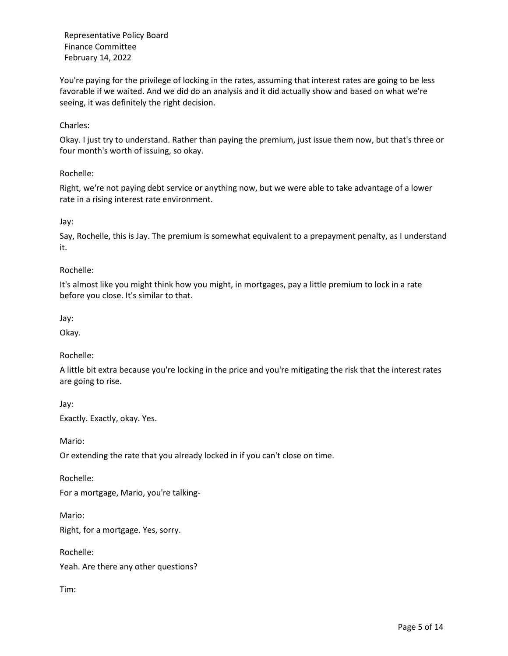You're paying for the privilege of locking in the rates, assuming that interest rates are going to be less favorable if we waited. And we did do an analysis and it did actually show and based on what we're seeing, it was definitely the right decision.

### Charles:

Okay. I just try to understand. Rather than paying the premium, just issue them now, but that's three or four month's worth of issuing, so okay.

### Rochelle:

Right, we're not paying debt service or anything now, but we were able to take advantage of a lower rate in a rising interest rate environment.

Jay:

Say, Rochelle, this is Jay. The premium is somewhat equivalent to a prepayment penalty, as I understand it.

### Rochelle:

It's almost like you might think how you might, in mortgages, pay a little premium to lock in a rate before you close. It's similar to that.

Jay:

Okay.

## Rochelle:

A little bit extra because you're locking in the price and you're mitigating the risk that the interest rates are going to rise.

Jay: Exactly. Exactly, okay. Yes.

Mario:

Or extending the rate that you already locked in if you can't close on time.

Rochelle:

For a mortgage, Mario, you're talking-

Mario:

Right, for a mortgage. Yes, sorry.

Rochelle:

Yeah. Are there any other questions?

Tim: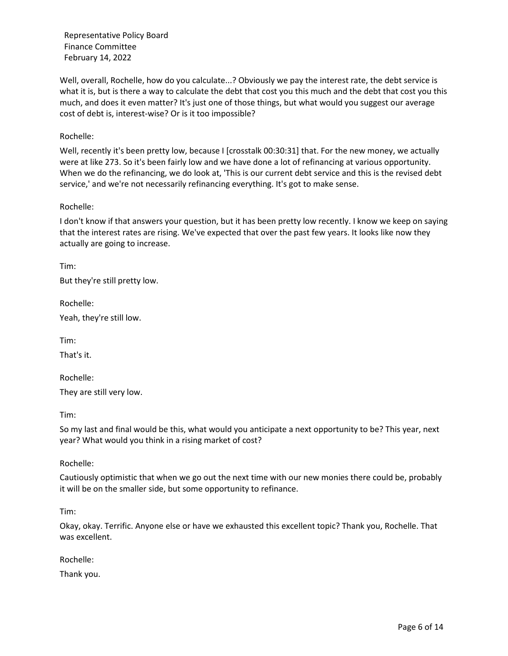Well, overall, Rochelle, how do you calculate...? Obviously we pay the interest rate, the debt service is what it is, but is there a way to calculate the debt that cost you this much and the debt that cost you this much, and does it even matter? It's just one of those things, but what would you suggest our average cost of debt is, interest-wise? Or is it too impossible?

### Rochelle:

Well, recently it's been pretty low, because I [crosstalk 00:30:31] that. For the new money, we actually were at like 273. So it's been fairly low and we have done a lot of refinancing at various opportunity. When we do the refinancing, we do look at, 'This is our current debt service and this is the revised debt service,' and we're not necessarily refinancing everything. It's got to make sense.

#### Rochelle:

I don't know if that answers your question, but it has been pretty low recently. I know we keep on saying that the interest rates are rising. We've expected that over the past few years. It looks like now they actually are going to increase.

Tim:

But they're still pretty low.

Rochelle:

Yeah, they're still low.

Tim:

That's it.

Rochelle: They are still very low.

Tim:

So my last and final would be this, what would you anticipate a next opportunity to be? This year, next year? What would you think in a rising market of cost?

Rochelle:

Cautiously optimistic that when we go out the next time with our new monies there could be, probably it will be on the smaller side, but some opportunity to refinance.

Tim:

Okay, okay. Terrific. Anyone else or have we exhausted this excellent topic? Thank you, Rochelle. That was excellent.

Rochelle:

Thank you.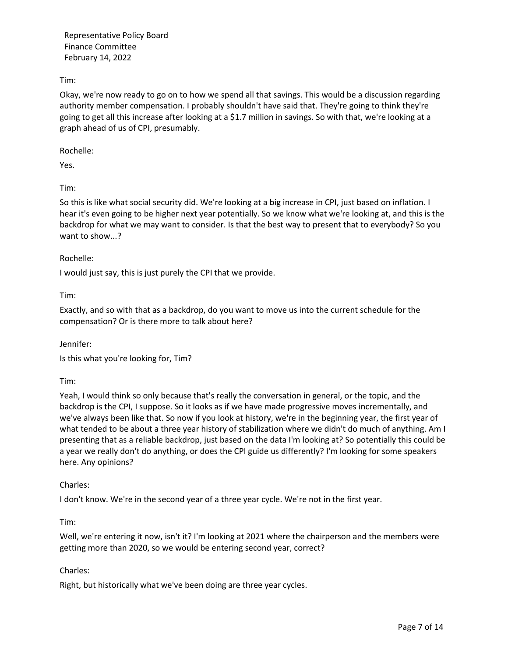Tim:

Okay, we're now ready to go on to how we spend all that savings. This would be a discussion regarding authority member compensation. I probably shouldn't have said that. They're going to think they're going to get all this increase after looking at a \$1.7 million in savings. So with that, we're looking at a graph ahead of us of CPI, presumably.

Rochelle:

Yes.

Tim:

So this is like what social security did. We're looking at a big increase in CPI, just based on inflation. I hear it's even going to be higher next year potentially. So we know what we're looking at, and this is the backdrop for what we may want to consider. Is that the best way to present that to everybody? So you want to show...?

### Rochelle:

I would just say, this is just purely the CPI that we provide.

Tim:

Exactly, and so with that as a backdrop, do you want to move us into the current schedule for the compensation? Or is there more to talk about here?

Jennifer:

Is this what you're looking for, Tim?

Tim:

Yeah, I would think so only because that's really the conversation in general, or the topic, and the backdrop is the CPI, I suppose. So it looks as if we have made progressive moves incrementally, and we've always been like that. So now if you look at history, we're in the beginning year, the first year of what tended to be about a three year history of stabilization where we didn't do much of anything. Am I presenting that as a reliable backdrop, just based on the data I'm looking at? So potentially this could be a year we really don't do anything, or does the CPI guide us differently? I'm looking for some speakers here. Any opinions?

### Charles:

I don't know. We're in the second year of a three year cycle. We're not in the first year.

Tim:

Well, we're entering it now, isn't it? I'm looking at 2021 where the chairperson and the members were getting more than 2020, so we would be entering second year, correct?

### Charles:

Right, but historically what we've been doing are three year cycles.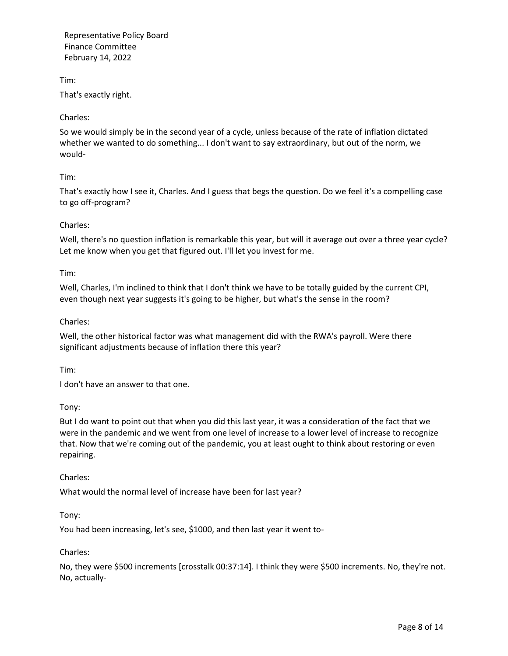Tim: That's exactly right.

### Charles:

So we would simply be in the second year of a cycle, unless because of the rate of inflation dictated whether we wanted to do something... I don't want to say extraordinary, but out of the norm, we would-

### Tim:

That's exactly how I see it, Charles. And I guess that begs the question. Do we feel it's a compelling case to go off-program?

## Charles:

Well, there's no question inflation is remarkable this year, but will it average out over a three year cycle? Let me know when you get that figured out. I'll let you invest for me.

### Tim:

Well, Charles, I'm inclined to think that I don't think we have to be totally guided by the current CPI, even though next year suggests it's going to be higher, but what's the sense in the room?

## Charles:

Well, the other historical factor was what management did with the RWA's payroll. Were there significant adjustments because of inflation there this year?

Tim:

I don't have an answer to that one.

Tony:

But I do want to point out that when you did this last year, it was a consideration of the fact that we were in the pandemic and we went from one level of increase to a lower level of increase to recognize that. Now that we're coming out of the pandemic, you at least ought to think about restoring or even repairing.

Charles:

What would the normal level of increase have been for last year?

Tony:

You had been increasing, let's see, \$1000, and then last year it went to-

### Charles:

No, they were \$500 increments [crosstalk 00:37:14]. I think they were \$500 increments. No, they're not. No, actually-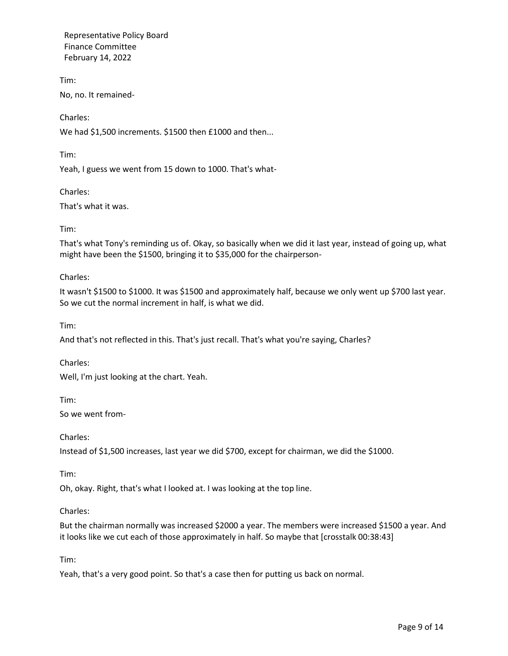Tim: No, no. It remained-

Charles:

We had \$1,500 increments. \$1500 then £1000 and then...

Tim:

Yeah, I guess we went from 15 down to 1000. That's what-

Charles:

That's what it was.

Tim:

That's what Tony's reminding us of. Okay, so basically when we did it last year, instead of going up, what might have been the \$1500, bringing it to \$35,000 for the chairperson-

Charles:

It wasn't \$1500 to \$1000. It was \$1500 and approximately half, because we only went up \$700 last year. So we cut the normal increment in half, is what we did.

Tim:

And that's not reflected in this. That's just recall. That's what you're saying, Charles?

Charles:

Well, I'm just looking at the chart. Yeah.

Tim:

So we went from-

Charles:

Instead of \$1,500 increases, last year we did \$700, except for chairman, we did the \$1000.

Tim:

Oh, okay. Right, that's what I looked at. I was looking at the top line.

Charles:

But the chairman normally was increased \$2000 a year. The members were increased \$1500 a year. And it looks like we cut each of those approximately in half. So maybe that [crosstalk 00:38:43]

Tim:

Yeah, that's a very good point. So that's a case then for putting us back on normal.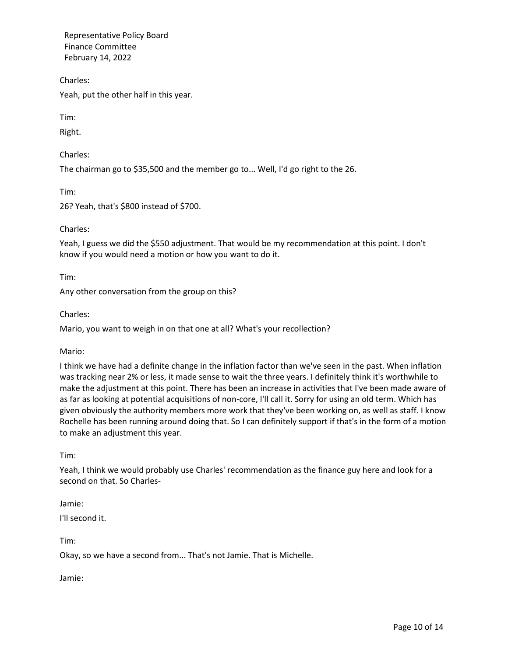Charles:

Yeah, put the other half in this year.

Tim:

Right.

Charles:

The chairman go to \$35,500 and the member go to... Well, I'd go right to the 26.

Tim:

26? Yeah, that's \$800 instead of \$700.

Charles:

Yeah, I guess we did the \$550 adjustment. That would be my recommendation at this point. I don't know if you would need a motion or how you want to do it.

Tim:

Any other conversation from the group on this?

Charles:

Mario, you want to weigh in on that one at all? What's your recollection?

Mario:

I think we have had a definite change in the inflation factor than we've seen in the past. When inflation was tracking near 2% or less, it made sense to wait the three years. I definitely think it's worthwhile to make the adjustment at this point. There has been an increase in activities that I've been made aware of as far as looking at potential acquisitions of non-core, I'll call it. Sorry for using an old term. Which has given obviously the authority members more work that they've been working on, as well as staff. I know Rochelle has been running around doing that. So I can definitely support if that's in the form of a motion to make an adjustment this year.

Tim:

Yeah, I think we would probably use Charles' recommendation as the finance guy here and look for a second on that. So Charles-

Jamie:

I'll second it.

Tim:

Okay, so we have a second from... That's not Jamie. That is Michelle.

Jamie: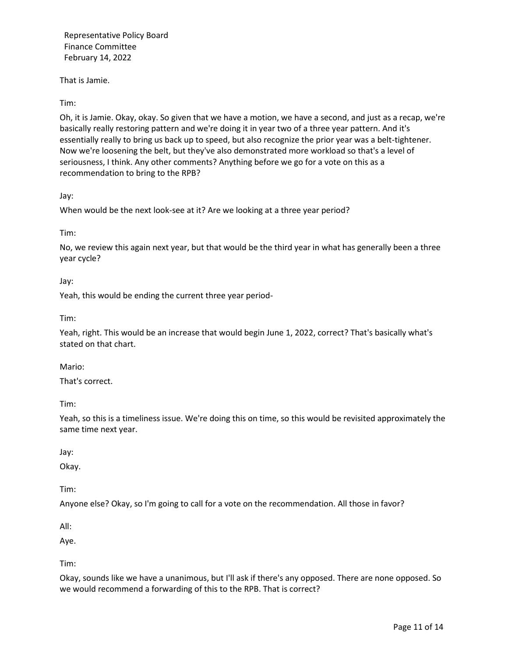That is Jamie.

Tim:

Oh, it is Jamie. Okay, okay. So given that we have a motion, we have a second, and just as a recap, we're basically really restoring pattern and we're doing it in year two of a three year pattern. And it's essentially really to bring us back up to speed, but also recognize the prior year was a belt-tightener. Now we're loosening the belt, but they've also demonstrated more workload so that's a level of seriousness, I think. Any other comments? Anything before we go for a vote on this as a recommendation to bring to the RPB?

Jay:

When would be the next look-see at it? Are we looking at a three year period?

Tim:

No, we review this again next year, but that would be the third year in what has generally been a three year cycle?

Jay:

Yeah, this would be ending the current three year period-

Tim:

Yeah, right. This would be an increase that would begin June 1, 2022, correct? That's basically what's stated on that chart.

Mario:

That's correct.

Tim:

Yeah, so this is a timeliness issue. We're doing this on time, so this would be revisited approximately the same time next year.

Jay:

Okay.

Tim:

Anyone else? Okay, so I'm going to call for a vote on the recommendation. All those in favor?

All:

Aye.

Tim:

Okay, sounds like we have a unanimous, but I'll ask if there's any opposed. There are none opposed. So we would recommend a forwarding of this to the RPB. That is correct?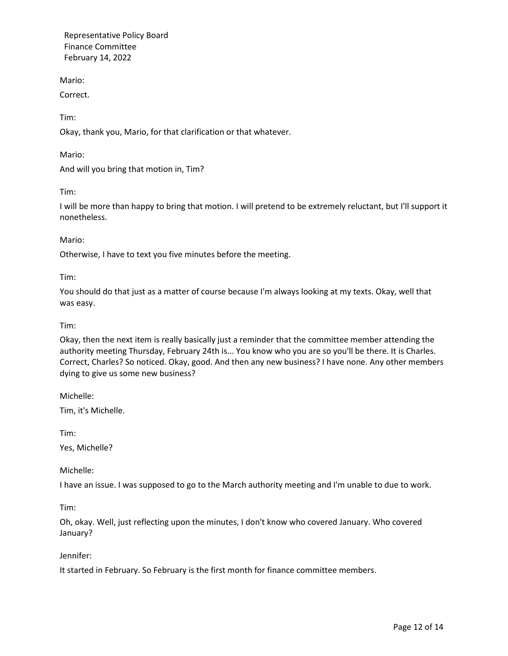Mario:

Correct.

Tim:

Okay, thank you, Mario, for that clarification or that whatever.

Mario:

And will you bring that motion in, Tim?

Tim:

I will be more than happy to bring that motion. I will pretend to be extremely reluctant, but I'll support it nonetheless.

Mario:

Otherwise, I have to text you five minutes before the meeting.

Tim:

You should do that just as a matter of course because I'm always looking at my texts. Okay, well that was easy.

### Tim:

Okay, then the next item is really basically just a reminder that the committee member attending the authority meeting Thursday, February 24th is... You know who you are so you'll be there. It is Charles. Correct, Charles? So noticed. Okay, good. And then any new business? I have none. Any other members dying to give us some new business?

Michelle:

Tim, it's Michelle.

Tim:

Yes, Michelle?

Michelle:

I have an issue. I was supposed to go to the March authority meeting and I'm unable to due to work.

Tim:

Oh, okay. Well, just reflecting upon the minutes, I don't know who covered January. Who covered January?

### Jennifer:

It started in February. So February is the first month for finance committee members.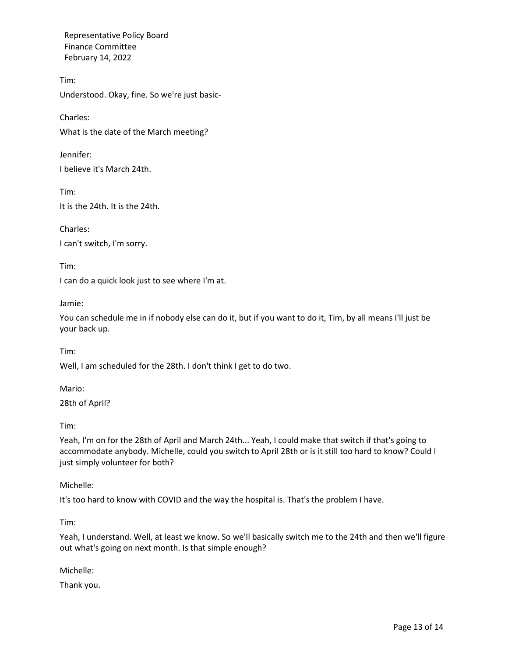Tim: Understood. Okay, fine. So we're just basic-

Charles: What is the date of the March meeting?

Jennifer: I believe it's March 24th.

Tim: It is the 24th. It is the 24th.

Charles: I can't switch, I'm sorry.

I can do a quick look just to see where I'm at.

Jamie:

Tim:

You can schedule me in if nobody else can do it, but if you want to do it, Tim, by all means I'll just be your back up.

Tim:

Well, I am scheduled for the 28th. I don't think I get to do two.

Mario:

28th of April?

Tim:

Yeah, I'm on for the 28th of April and March 24th... Yeah, I could make that switch if that's going to accommodate anybody. Michelle, could you switch to April 28th or is it still too hard to know? Could I just simply volunteer for both?

Michelle:

It's too hard to know with COVID and the way the hospital is. That's the problem I have.

Tim:

Yeah, I understand. Well, at least we know. So we'll basically switch me to the 24th and then we'll figure out what's going on next month. Is that simple enough?

Michelle:

Thank you.